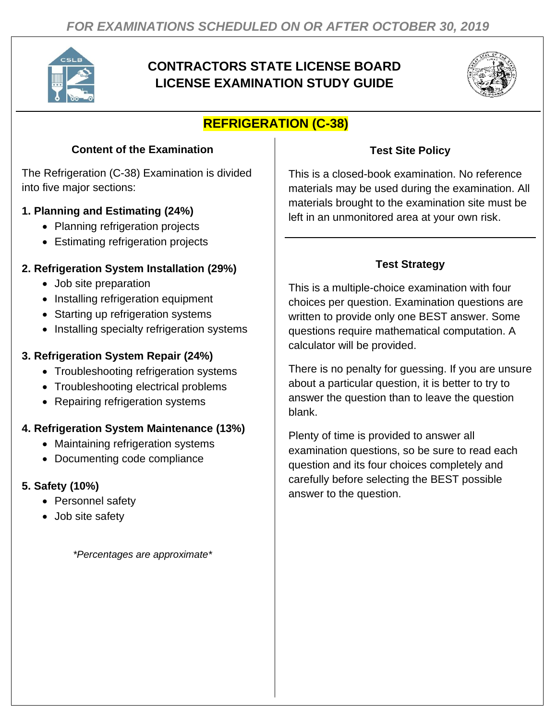

# **CONTRACTORS STATE LICENSE BOARD LICENSE EXAMINATION STUDY GUIDE**



# **REFRIGERATION (C-38)**

## **Content of the Examination**

The Refrigeration (C-38) Examination is divided into five major sections:

### **1. Planning and Estimating (24%)**

- Planning refrigeration projects
- Estimating refrigeration projects

### **2. Refrigeration System Installation (29%)**

- Job site preparation
- Installing refrigeration equipment
- Starting up refrigeration systems
- Installing specialty refrigeration systems

### **3. Refrigeration System Repair (24%)**

- Troubleshooting refrigeration systems
- Troubleshooting electrical problems
- Repairing refrigeration systems

## **4. Refrigeration System Maintenance (13%)**

- Maintaining refrigeration systems
- Documenting code compliance

### **5. Safety (10%)**

- Personnel safety
- Job site safety

*\*Percentages are approximate\**

### **Test Site Policy**

This is a closed-book examination. No reference materials may be used during the examination. All materials brought to the examination site must be left in an unmonitored area at your own risk.

# **Test Strategy**

This is a multiple-choice examination with four choices per question. Examination questions are written to provide only one BEST answer. Some questions require mathematical computation. A calculator will be provided.

There is no penalty for guessing. If you are unsure about a particular question, it is better to try to answer the question than to leave the question blank.

Plenty of time is provided to answer all examination questions, so be sure to read each question and its four choices completely and carefully before selecting the BEST possible answer to the question.